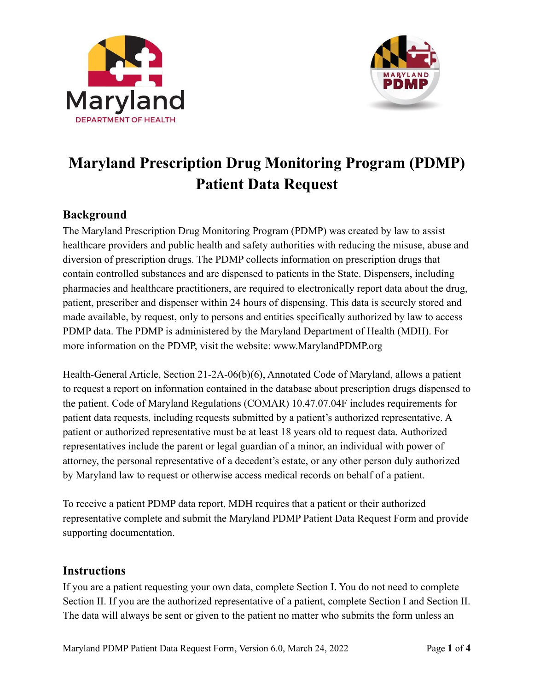



# **Maryland Prescription Drug Monitoring Program (PDMP) Patient Data Request**

## **Background**

The Maryland Prescription Drug Monitoring Program (PDMP) was created by law to assist healthcare providers and public health and safety authorities with reducing the misuse, abuse and diversion of prescription drugs. The PDMP collects information on prescription drugs that contain controlled substances and are dispensed to patients in the State. Dispensers, including pharmacies and healthcare practitioners, are required to electronically report data about the drug, patient, prescriber and dispenser within 24 hours of dispensing. This data is securely stored and made available, by request, only to persons and entities specifically authorized by law to access PDMP data. The PDMP is administered by the Maryland Department of Health (MDH). For more information on the PDMP, visit the website: www.MarylandPDMP.org

Health-General Article, Section 21-2A-06(b)(6), Annotated Code of Maryland, allows a patient to request a report on information contained in the database about prescription drugs dispensed to the patient. Code of Maryland Regulations (COMAR) 10.47.07.04F includes requirements for patient data requests, including requests submitted by a patient's authorized representative. A patient or authorized representative must be at least 18 years old to request data. Authorized representatives include the parent or legal guardian of a minor, an individual with power of attorney, the personal representative of a decedent's estate, or any other person duly authorized by Maryland law to request or otherwise access medical records on behalf of a patient.

To receive a patient PDMP data report, MDH requires that a patient or their authorized representative complete and submit the Maryland PDMP Patient Data Request Form and provide supporting documentation.

### **Instructions**

If you are a patient requesting your own data, complete Section I. You do not need to complete Section II. If you are the authorized representative of a patient, complete Section I and Section II. The data will always be sent or given to the patient no matter who submits the form unless an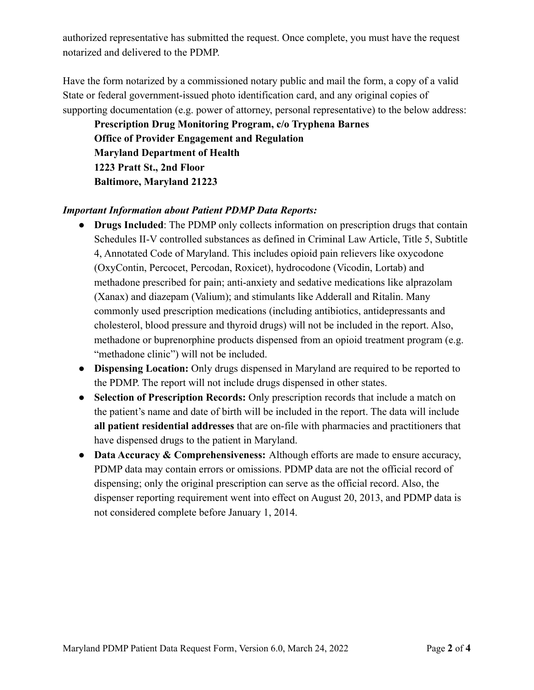authorized representative has submitted the request. Once complete, you must have the request notarized and delivered to the PDMP.

Have the form notarized by a commissioned notary public and mail the form, a copy of a valid State or federal government-issued photo identification card, and any original copies of supporting documentation (e.g. power of attorney, personal representative) to the below address:

**Prescription Drug Monitoring Program, c/o Tryphena Barnes Office of Provider Engagement and Regulation Maryland Department of Health 1223 Pratt St., 2nd Floor Baltimore, Maryland 21223**

### *Important Information about Patient PDMP Data Reports:*

- **Drugs Included**: The PDMP only collects information on prescription drugs that contain Schedules II-V controlled substances as defined in Criminal Law Article, Title 5, Subtitle 4, Annotated Code of Maryland. This includes opioid pain relievers like oxycodone (OxyContin, Percocet, Percodan, Roxicet), hydrocodone (Vicodin, Lortab) and methadone prescribed for pain; anti-anxiety and sedative medications like alprazolam (Xanax) and diazepam (Valium); and stimulants like Adderall and Ritalin. Many commonly used prescription medications (including antibiotics, antidepressants and cholesterol, blood pressure and thyroid drugs) will not be included in the report. Also, methadone or buprenorphine products dispensed from an opioid treatment program (e.g. "methadone clinic") will not be included.
- **Dispensing Location:** Only drugs dispensed in Maryland are required to be reported to the PDMP. The report will not include drugs dispensed in other states.
- **Selection of Prescription Records:** Only prescription records that include a match on the patient's name and date of birth will be included in the report. The data will include **all patient residential addresses** that are on-file with pharmacies and practitioners that have dispensed drugs to the patient in Maryland.
- **Data Accuracy & Comprehensiveness:** Although efforts are made to ensure accuracy, PDMP data may contain errors or omissions. PDMP data are not the official record of dispensing; only the original prescription can serve as the official record. Also, the dispenser reporting requirement went into effect on August 20, 2013, and PDMP data is not considered complete before January 1, 2014.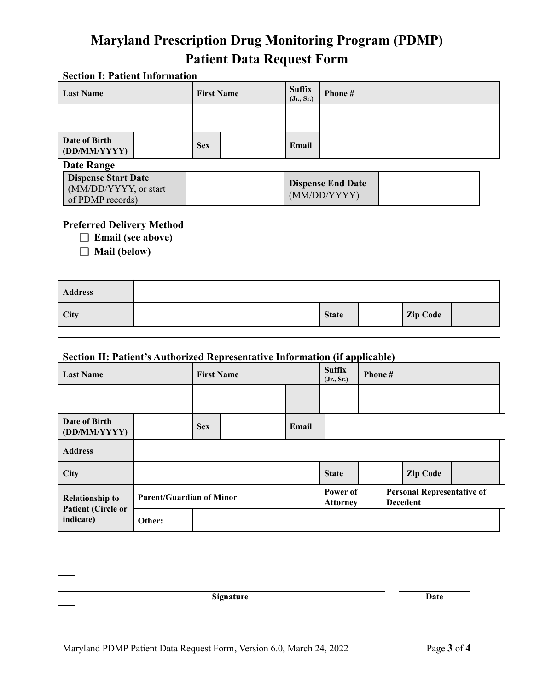## **Maryland Prescription Drug Monitoring Program (PDMP) Patient Data Request Form**

### **Section I: Patient Information**

| <b>Last Name</b>              | <b>First Name</b> | <b>Suffix</b><br>(Jr., Sr.) | Phone # |  |  |
|-------------------------------|-------------------|-----------------------------|---------|--|--|
|                               |                   |                             |         |  |  |
| Date of Birth<br>(DD/MM/YYYY) | <b>Sex</b>        | Email                       |         |  |  |

#### **Date Range**

| Dispense Start Date<br>(MM/DD/YYYY, or start) | <b>Dispense End Date</b><br>(MM/DD/YYYY) |  |
|-----------------------------------------------|------------------------------------------|--|
| of PDMP records)                              |                                          |  |

### **Preferred Delivery Method**

- **Email (see above)**
- **Mail (below)**

| <b>Address</b> |              |                 |  |
|----------------|--------------|-----------------|--|
| <b>City</b>    | <b>State</b> | <b>Zip Code</b> |  |

## **Section II: Patient's Authorized Representative Information (if applicable)**

| <b>Last Name</b>                       | <b>First Name</b>               |            | <b>Suffix</b><br>(Jr., Sr.) | Phone #                                              |  |                 |  |
|----------------------------------------|---------------------------------|------------|-----------------------------|------------------------------------------------------|--|-----------------|--|
|                                        |                                 |            |                             |                                                      |  |                 |  |
| Date of Birth<br>(DD/MM/YYYY)          |                                 | <b>Sex</b> | Email                       |                                                      |  |                 |  |
| <b>Address</b>                         |                                 |            |                             |                                                      |  |                 |  |
| <b>City</b>                            |                                 |            |                             | <b>State</b>                                         |  | <b>Zip Code</b> |  |
| <b>Relationship to</b>                 | <b>Parent/Guardian of Minor</b> |            | Power of<br><b>Attorney</b> | <b>Personal Representative of</b><br><b>Decedent</b> |  |                 |  |
| <b>Patient (Circle or</b><br>indicate) | Other:                          |            |                             |                                                      |  |                 |  |

**Signature Date**